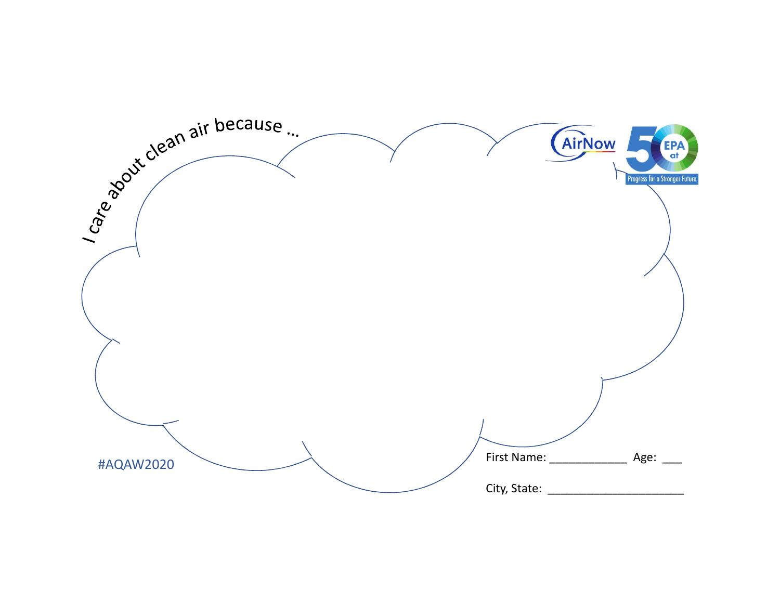